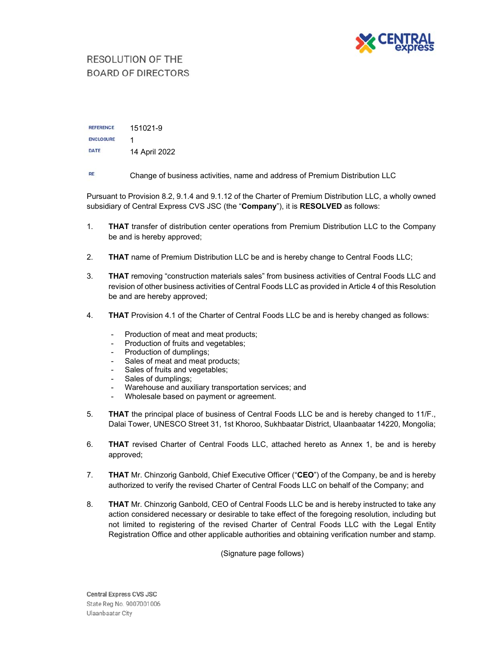

## RESOLUTION OF THE **BOARD OF DIRECTORS**

**REFERENCE** 151021-9 **ENCLOSURE** 1 **DATE** 14 April 2022

**RE** Change of business activities, name and address of Premium Distribution LLC

Pursuant to Provision 8.2, 9.1.4 and 9.1.12 of the Charter of Premium Distribution LLC, a wholly owned subsidiary of Central Express CVS JSC (the "**Company**"), it is **RESOLVED** as follows:

- 1. **THAT** transfer of distribution center operations from Premium Distribution LLC to the Company be and is hereby approved;
- 2. **THAT** name of Premium Distribution LLC be and is hereby change to Central Foods LLC;
- 3. **THAT** removing "construction materials sales" from business activities of Central Foods LLC and revision of other business activities of Central Foods LLC as provided in Article 4 of this Resolution be and are hereby approved;
- 4. **THAT** Provision 4.1 of the Charter of Central Foods LLC be and is hereby changed as follows:
	- Production of meat and meat products:
	- Production of fruits and vegetables;
	- Production of dumplings;
	- Sales of meat and meat products;
	- Sales of fruits and vegetables;
	- Sales of dumplings;
	- Warehouse and auxiliary transportation services; and
	- Wholesale based on payment or agreement.
- 5. **THAT** the principal place of business of Central Foods LLC be and is hereby changed to 11/F., Dalai Tower, UNESCO Street 31, 1st Khoroo, Sukhbaatar District, Ulaanbaatar 14220, Mongolia;
- 6. **THAT** revised Charter of Central Foods LLC, attached hereto as Annex 1, be and is hereby approved;
- 7. **THAT** Mr. Chinzorig Ganbold, Chief Executive Officer ("**CEO**") of the Company, be and is hereby authorized to verify the revised Charter of Central Foods LLC on behalf of the Company; and
- 8. **THAT** Mr. Chinzorig Ganbold, CEO of Central Foods LLC be and is hereby instructed to take any action considered necessary or desirable to take effect of the foregoing resolution, including but not limited to registering of the revised Charter of Central Foods LLC with the Legal Entity Registration Office and other applicable authorities and obtaining verification number and stamp.

(Signature page follows)